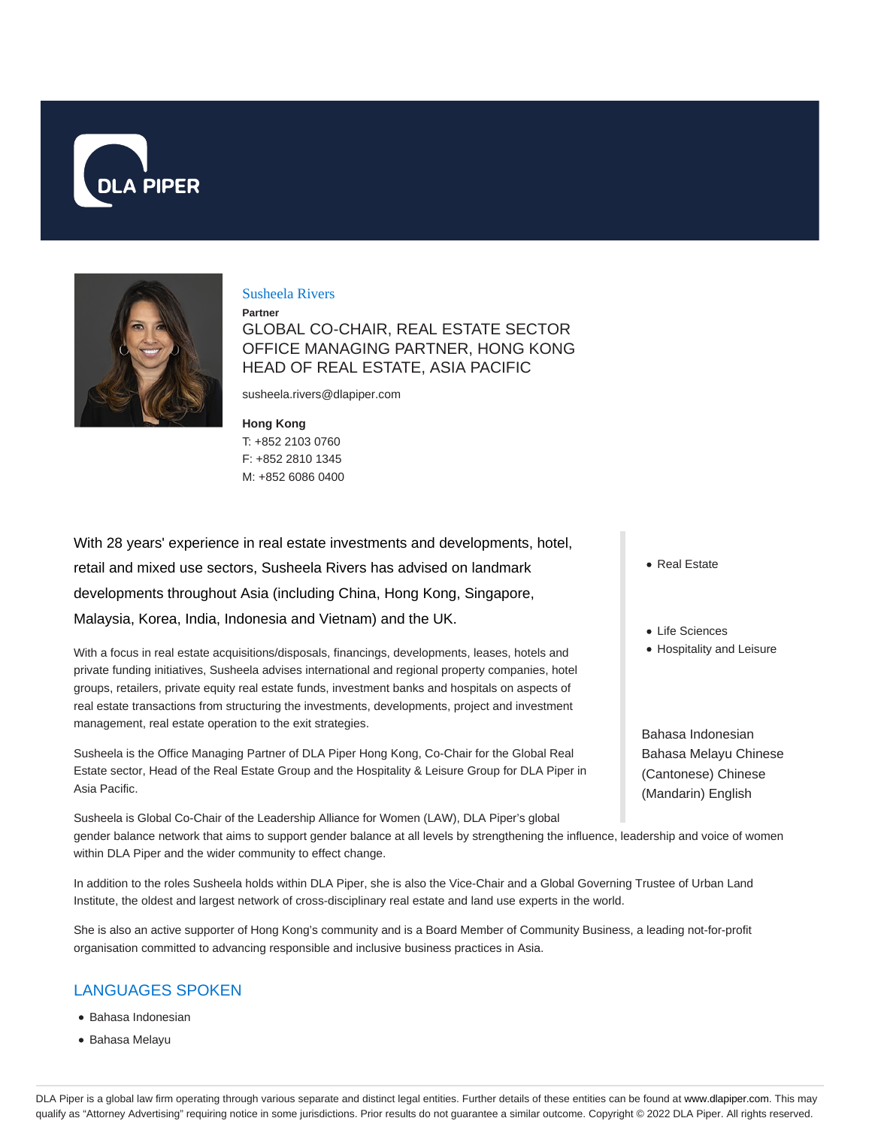



### Susheela Rivers

**Partner**

GLOBAL CO-CHAIR, REAL ESTATE SECTOR OFFICE MANAGING PARTNER, HONG KONG HEAD OF REAL ESTATE, ASIA PACIFIC

susheela.rivers@dlapiper.com

### **Hong Kong**

T: +852 2103 0760 F: +852 2810 1345 M: +852 6086 0400

With 28 years' experience in real estate investments and developments, hotel, retail and mixed use sectors, Susheela Rivers has advised on landmark developments throughout Asia (including China, Hong Kong, Singapore, Malaysia, Korea, India, Indonesia and Vietnam) and the UK.

With a focus in real estate acquisitions/disposals, financings, developments, leases, hotels and private funding initiatives, Susheela advises international and regional property companies, hotel groups, retailers, private equity real estate funds, investment banks and hospitals on aspects of real estate transactions from structuring the investments, developments, project and investment management, real estate operation to the exit strategies.

Susheela is the Office Managing Partner of DLA Piper Hong Kong, Co-Chair for the Global Real Estate sector, Head of the Real Estate Group and the Hospitality & Leisure Group for DLA Piper in Asia Pacific.

Susheela is Global Co-Chair of the Leadership Alliance for Women (LAW), DLA Piper's global gender balance network that aims to support gender balance at all levels by strengthening the influence, leadership and voice of women within DLA Piper and the wider community to effect change.

In addition to the roles Susheela holds within DLA Piper, she is also the Vice-Chair and a Global Governing Trustee of Urban Land Institute, the oldest and largest network of cross-disciplinary real estate and land use experts in the world.

She is also an active supporter of Hong Kong's community and is a Board Member of Community Business, a leading not-for-profit organisation committed to advancing responsible and inclusive business practices in Asia.

## LANGUAGES SPOKEN

- Bahasa Indonesian
- Bahasa Melayu
- Real Estate
- Life Sciences
- Hospitality and Leisure

Bahasa Indonesian Bahasa Melayu Chinese (Cantonese) Chinese (Mandarin) English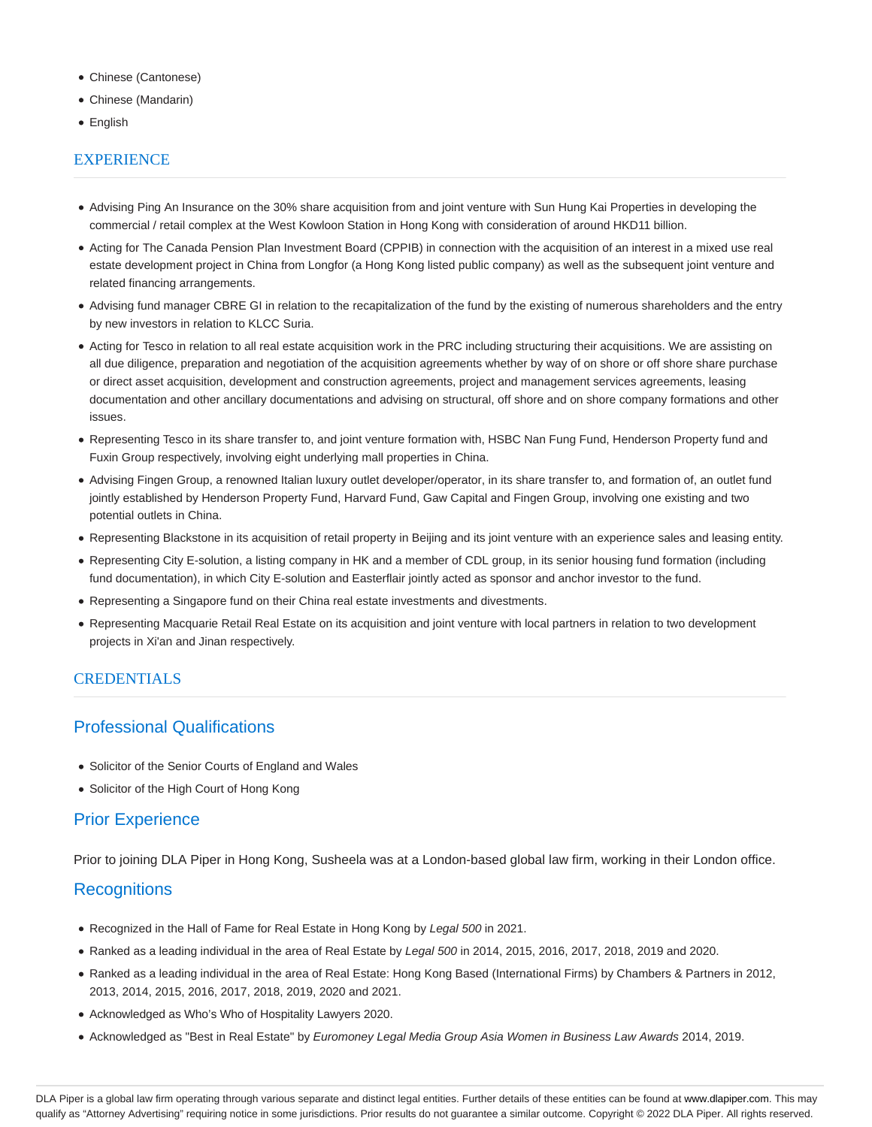- Chinese (Cantonese)
- Chinese (Mandarin)
- English

## **EXPERIENCE**

- Advising Ping An Insurance on the 30% share acquisition from and joint venture with Sun Hung Kai Properties in developing the commercial / retail complex at the West Kowloon Station in Hong Kong with consideration of around HKD11 billion.
- Acting for The Canada Pension Plan Investment Board (CPPIB) in connection with the acquisition of an interest in a mixed use real estate development project in China from Longfor (a Hong Kong listed public company) as well as the subsequent joint venture and related financing arrangements.
- Advising fund manager CBRE GI in relation to the recapitalization of the fund by the existing of numerous shareholders and the entry by new investors in relation to KLCC Suria.
- Acting for Tesco in relation to all real estate acquisition work in the PRC including structuring their acquisitions. We are assisting on all due diligence, preparation and negotiation of the acquisition agreements whether by way of on shore or off shore share purchase or direct asset acquisition, development and construction agreements, project and management services agreements, leasing documentation and other ancillary documentations and advising on structural, off shore and on shore company formations and other issues.
- Representing Tesco in its share transfer to, and joint venture formation with, HSBC Nan Fung Fund, Henderson Property fund and Fuxin Group respectively, involving eight underlying mall properties in China.
- Advising Fingen Group, a renowned Italian luxury outlet developer/operator, in its share transfer to, and formation of, an outlet fund jointly established by Henderson Property Fund, Harvard Fund, Gaw Capital and Fingen Group, involving one existing and two potential outlets in China.
- Representing Blackstone in its acquisition of retail property in Beijing and its joint venture with an experience sales and leasing entity.
- Representing City E-solution, a listing company in HK and a member of CDL group, in its senior housing fund formation (including fund documentation), in which City E-solution and Easterflair jointly acted as sponsor and anchor investor to the fund.
- Representing a Singapore fund on their China real estate investments and divestments.
- Representing Macquarie Retail Real Estate on its acquisition and joint venture with local partners in relation to two development projects in Xi'an and Jinan respectively.

## **CREDENTIALS**

# Professional Qualifications

- Solicitor of the Senior Courts of England and Wales
- Solicitor of the High Court of Hong Kong

# Prior Experience

Prior to joining DLA Piper in Hong Kong, Susheela was at a London-based global law firm, working in their London office.

# **Recognitions**

- Recognized in the Hall of Fame for Real Estate in Hong Kong by Legal 500 in 2021.
- Ranked as a leading individual in the area of Real Estate by Legal 500 in 2014, 2015, 2016, 2017, 2018, 2019 and 2020.
- Ranked as a leading individual in the area of Real Estate: Hong Kong Based (International Firms) by Chambers & Partners in 2012, 2013, 2014, 2015, 2016, 2017, 2018, 2019, 2020 and 2021.
- Acknowledged as Who's Who of Hospitality Lawyers 2020.
- Acknowledged as "Best in Real Estate" by Euromoney Legal Media Group Asia Women in Business Law Awards 2014, 2019.